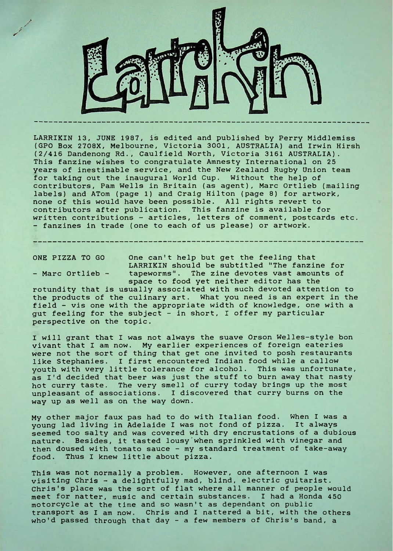

LARRIKIN 13, JUNE 1987, is edited and published by Perry Middlemiss (GPO Box 2708X, Melbourne, Victoria 3001, AUSTRALIA) and Irwin Hirsh (2/416 Dandenong Rd., Caulfield North, Victoria 3161 AUSTRALIA). This fanzine wishes to congratulate Amnesty International on 25 years of inestimable service, and the New Zealand Rugby Union team for taking out the inaugural World Cup. Without the help of contributors, Pam Wells in Britain (as agent), Marc Ortlieb (mailing labels) and ATom (page 1) and Craig Hilton (page 8) for artwork, none of this would have been possible. All rights revert to contributors after publication. This fanzine is available for written contributions - articles, letters of comment, postcards etc. - fanzines in trade (one to each of us please) or artwork.

ONE PIZZA TO GO One can't help but get the feeling that LARRIKIN should be subtitled "The fanzine for - Marc Ortlieb - tapeworms". The zine devotes vast amounts of space to food yet neither editor has the

rotundity that is usually associated with such devoted attention to the products of the culinary art. What you need is an expert in the field - vis one with the appropriate width of knowledge, one with a gut feeling for the subject - in short, I offer my particular perspective on the topic.

I will grant that I was not always the suave Orson Welles-style bon vivant that I am now. My earlier experiences of foreign eateries were not the sort of thing that get one invited to posh restaurants like Stephanies. <sup>I</sup> first encountered Indian food while a callow youth with very little tolerance for alcohol. This was unfortunate, as I'd decided that beer was just the stuff to burn away that nasty hot curry taste. The very smell of curry today brings up the most unpleasant of associations. <sup>I</sup> discovered that curry burns on the way up as well as on the way down.

My other major faux pas had to do with Italian food. When <sup>I</sup> was a young lad living in Adelaide <sup>I</sup> was not fond of pizza. It always seemed too salty and was covered with dry encrustations of a dubious nature. Besides, it tasted lousy'when sprinkled with vinegar and then doused with tomato sauce - my standard treatment of take-away food. Thus I knew little about pizza.

This was not normally a problem. However, one afternoon <sup>I</sup> was visiting Chris - a delightfully mad, blind, electric guitarist. Chris's place was the sort of flat where all manner of people would meet for natter, music and certain substances. <sup>I</sup> had a Honda 450 motorcycle at the time and so wasn't as dependant on public transport as <sup>I</sup> am now. Chris and <sup>I</sup> nattered a bit, with the others who'd passed through that day - <sup>a</sup> few members of Chris's band, <sup>a</sup>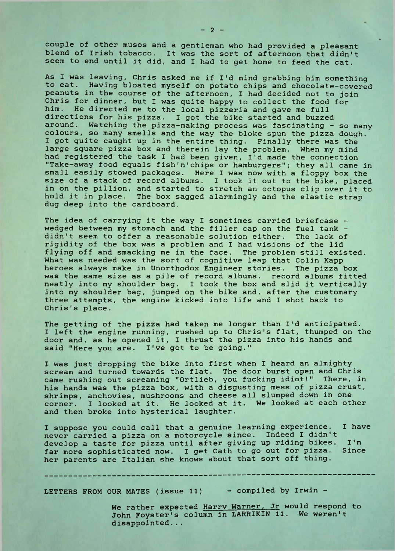couple of other musos and a gentleman who had provided a pleasant blend of Irish tobacco. It was the sort of afternoon that didn't seem to end until it did, and <sup>I</sup> had to get home to feed the cat.

As I was leaving, Chris asked me if I'd mind grabbing him something to eat. Having bloated myself on potato chips and chocolate-covered peanuts in the course of the afternoon, I had decided not to join Chris for dinner, but I was quite happy to collect the food for him. He directed me to the local pizzeria and gave me full directions for his pizza. <sup>I</sup> got the bike started and buzzed around. Watching the pizza-making process was fascinating - so many colours, so many smells and the way the bloke spun the pizza dough. I got quite caught up in the entire thing. Finally there was the large square pizza box and therein lay the problem. When my mind had registered the task I had been given, I'd made the connection "Take-away food equals fish'n'chips or hamburgers"; they all came in small easily stowed packages. Here <sup>I</sup> was now with a floppy box the size of a stack of record albums. <sup>I</sup> took it out to the bike, placed in on the pillion, and started to stretch an octopus clip over it to hold it in place. The box sagged alarmingly and the elastic strap dug deep into the cardboard.

The idea of carrying it the way I sometimes carried briefcase wedged between my stomach and the filler cap on the fuel tank didn't seem to offer a reasonable solution either. The lack of rigidity of the box was a problem and <sup>I</sup> had visions of the lid flying off and smacking me in the face. The problem still existed. What was needed was the sort of cognitive leap that Colin Kapp heroes always make in Unorthodox Engineer stories. The pizza box was the same size as a pile of record albums. record albums fitted neatly into my shoulder bag. I took the box and slid it vertically into my shoulder bag, jumped on the bike and, after the customary three attempts, the engine kicked into life and I shot back to Chris's place.

The getting of the pizza had taken me longer than I'd anticipated. I left the engine running, rushed up to Chris's flat, thumped on the door and, as he opened it, I thrust the pizza into his hands and said "Here you are. I've got to be going."

I was just dropping the bike into first when <sup>I</sup> heard an almighty scream and turned towards the flat. The door burst open and Chris came rushing out screaming "Ortlieb, you fucking idiot!" There, in his hands was the pizza box, with a disgusting mess of pizza crust, shrimps, anchovies, mushrooms and cheese all slumped down in one corner. <sup>I</sup> looked at it. He looked at it. We looked at each other and then broke into hysterical laughter.

I suppose you could call that a genuine learning experience. <sup>I</sup> have never carried a pizza on a motorcycle since. Indeed I didn't develop a taste for pizza until after giving up riding bikes. I'm<br>far more sophisticated now. I get Cath to go out for pizza. Since far more sophisticated now. I get Cath to go out for pizza. her parents are Italian she knows about that sort off thing.

LETTERS FROM OUR MATES (issue 11) - compiled by Irwin -

We rather expected Harry Warner, Jr would respond to John Foyster's column in LARRIKIN 11. We weren't disappointed.. .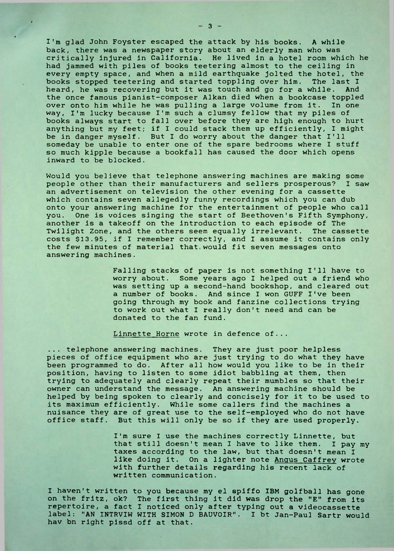I'm glad John Foyster escaped the attack by his books. A while back, there was a newspaper story about an elderly man who was critically injured in California. He lived in a hotel room which he had jammed with piles of books teetering almost to the ceiling in every empty space, and when a mild earthquake jolted the hotel, the books stopped teetering and started toppling over him. The last <sup>I</sup> heard, he was recovering but it was touch and go for a while. the once famous pianist-composer Alkan died when a bookcase toppled over onto him while he was pulling a large volume from it. In one way, I'm lucky because I'm such a clumsy fellow that my piles of books always start to fall over before they are high enough to hurt anything but my feet; if <sup>I</sup> could stack them up efficiently, <sup>I</sup> might be in danger myself. But I do worry about the danger that I'll someday be unable to enter one of the spare bedrooms where <sup>I</sup> stuff so much kipple because a bookfall has caused the door which opens inward to be blocked.

Would you believe that telephone answering machines are making some<br>people other than their manufacturers and sellers prosperous? I saw people other than their manufacturers and sellers prosperous? an advertisement on television the other evening for a cassette which contains seven allegedly funny recordings which you can dub onto your answering machine for the entertainment of people who call you. One is voices singing the start of Beethoven's Fifth Symphony, another is a takeoff on the introduction to each episode of The Twilight Zone, and the others seem equally irrelevant. The cassette costs \$13.95, if <sup>I</sup> remember correctly, and I assume it contains only the few minutes of material that.would fit seven messages onto answering machines.

> Falling stacks of paper is not something I'll have to worry about. Some years ago I helped out a friend who was setting up a second-hand bookshop, and cleared out a number of books. And since <sup>I</sup> won GUFF I've been going through my book and fanzine collections trying to work out what <sup>I</sup> really don't need and can be donated to the fan fund.

Linnette Horne wrote in defence of...

... telephone answering machines. They are just poor helpless pieces of office equipment who are just trying to do what they have been programmed to do. After all how would you like to be in their position, having to listen to some idiot babbling at them, then trying to adequately and clearly repeat their mumbles so that their owner can understand the message. An answering machine should be helped by being spoken to clearly and concisely for it to be used to its maximum efficiently. While some callers find the machines a nuisance they are of great use to the self-employed who do not have office staff. But this will only be so if they are used properly.

> I'm sure <sup>I</sup> use the machines correctly Linnette, but that still doesn't mean <sup>I</sup> have to like them. I pay my taxes according to the law, but that doesn't mean <sup>I</sup> like doing it. On a lighter note Angus Caffrey wrote with further details regarding his recent lack of written communication.

I haven't written to you because my el spiffo IBM golfball has gone on the fritz, ok? The first thing it did was drop the "E" from its repertoire, a fact <sup>I</sup> noticed only after typing out a videocassette label: "AN INTRVIW WITH SIMON D BAUVOIR". <sup>I</sup> bt Jan-Paul Sartr would hav bn right pissd off at that.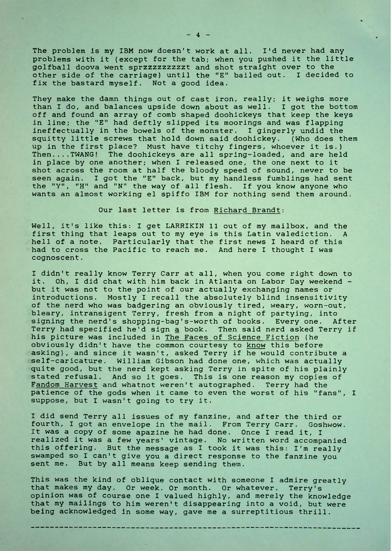The problem is my IBM now doesn't work at all. I'd never had any problems with it (except for the tab; when you pushed it the little golfball doova went sprzzzzzzzzzt and shot straight over to the other side of the carriage) until the "E" bailed out. <sup>I</sup> decided to fix the bastard myself. Not a good idea.

They make the damn things out of cast iron, really; it weighs more than I do, and balances upside down about as well. <sup>I</sup> got the bottom off and found an array of comb shaped doohickeys that keep the keys in line; the "E" had deftly slipped its moorings and was flapping ineffectually in the bowels of the monster. <sup>I</sup> gingerly undid the squitty little screws that hold down said doohickey. (Who does them up in the first place? Must have titchy fingers, whoever it is.) Then.... TWANG! The doohickeys are all spring-loaded, and are held in place by one another; when <sup>I</sup> released one, the one next to it shot across the room at half the bloody speed of sound, never to be seen again. <sup>I</sup> got the "E" back, but my handless fumblings had sent the "Y", "H" and "N" the way of all flesh. If you know anyone who wants an almost working el spiffo IBM for nothing send them around.

## Our last letter is from Richard Brandt:

Well, it's like this: I get LARRIKIN 11 out of my mailbox, and the first thing that leaps out to my eye is this Latin valediction. A hell of a note. Particularly that the first news I heard of this had to cross the Pacific to reach me. And here <sup>I</sup> thought <sup>I</sup> was cognoscent.

<sup>I</sup> didn't really know Terry Carr at all, when you come right down to it. Oh, <sup>I</sup> did chat with him back in Atlanta on Labor Day weekend but it was not to the point of our actually exchanging names or introductions. Mostly <sup>I</sup> recall the absolutely blind insensitivity of the nerd who was badgering an obviously tired, weary, worn-out, bleary, intransigent Terry, fresh from a night of partying, into signing the nerd's shopping-bag's-worth of books. Every one. After Terry had specified he'd sign a book. Then said nerd asked Terry if his picture was included in The Faces of Science Fiction (he obviously didn't have the common courtesy to <u>know</u> this before asking), and since it wasn't, asked Terry if he would contribute a self-caricature. William Gibson had done one, which was actually quite good, but the nerd kept asking Terry in spite of his plainly stated refusal. And so it goes. This is one reason my copies of Fandom Harvest and whatnot weren't autographed. Terry had the patience of the gods when it came to even the worst of his "fans", <sup>I</sup> suppose, but <sup>I</sup> wasn't going to try it.

I did send Terry all issues of my fanzine, and after the third or fourth, I got an envelope in the mail. From Terry Carr. Goshwow. It was a copy of some apazine he had done. Once <sup>I</sup> read it, <sup>I</sup> realized it was a few years' vintage. No written word accompanied this offering. But the message as I took it was this: I'm really swamped so <sup>I</sup> can't give you a direct response to the fanzine you sent me. But by all means keep sending them.

This was the kind of oblique contact with someone <sup>I</sup> admire greatly that makes my day. Or week. Or month. Or whatever. Terry's opinion was of course one <sup>I</sup> valued highly, and merely the knowledge that my mailings to him weren't disappearing into a void, but were being acknowledged in some way, gave me a surreptitious thrill.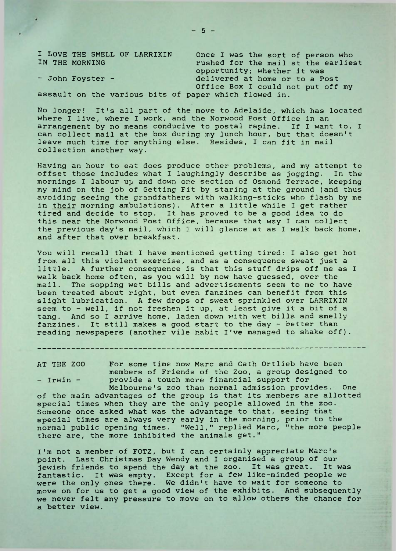I LOVE THE SMELL OF LARRIKIN Once I was the sort of person who<br>IN THE MORNING Tushed for the mail at the earlies rushed for the mail at the earliest opportunity; whether it was - John Foyster - delivered at home or to a Post Office Box <sup>I</sup> could not put off my

assault on the various bits of paper which flowed in.

No longer! It's all part of the move to Adelaide, which has located where <sup>I</sup> live, where <sup>I</sup> work, and the Norwood Post Office in an arrangement by no means conducive to postal rapine. If <sup>I</sup> want to, <sup>I</sup> can collect mail at the box during my lunch hour, but that doesn't leave much time for anything else. Besides, I can fit in mail collection another way.

Having an hour to eat does produce other problems, and my attempt to offset those includes what <sup>I</sup> laughingly describe as jogging. In the mornings <sup>I</sup> labour up and down one section of Osmond Terrace, keeping my mind on the job of Getting Fit by staring at the ground (and thus avoiding seeing the grandfathers with walking-sticks who flash by me in their morning ambulations). After a little while I get rather tired and decide to stop. It has proved to be a good idea to do this near the Norwood Post Office, because that way <sup>I</sup> can collect the previous day's mail, which <sup>I</sup> will glance at as I walk back home, and after that over breakfast.

You will recall that <sup>I</sup> have mentioned getting tired: <sup>I</sup> also get hot from all this violent exercise, and as a consequence sweat just a little. A further consequence is that this stuff drips off me as I walk back home often, as you will by now have guessed, over the mail. The sopping wet bills and advertisements seem to me to have been treated about right, but even fanzines can benefit from this slight lubrication. A few drops of sweat sprinkled over LARRIKIN seem to - well, if not freshen it up, at least give it a bit of a tang. And so <sup>I</sup> arrive home, laden down with wet bills and smelly fanzines. It still makes a good start to the day - better than reading newspapers (another vile habit I've managed to shake off).

AT THE ZOO For some time now Marc and Cath Ortlieb have been members of Friends of the Zoo, a group designed to - Irwin - provide a touch more financial support for Melbourne's zoo than normal admission provides. One

of the main advantages of the group is that its members are allotted special times when they are the only people allowed in the zoo. Someone once asked what was the advantage to that, seeing that special times are always very early in the morning, prior to the normal public opening times. "Well," replied Marc, "the more people there are, the more inhibited the animals get."

I'm not a member of FOTZ, but <sup>I</sup> can certainly appreciate Marc's point. Last Christmas Day Wendy and I organised a group of our jewish friends to spend the day at the zoo. It was great. It was fantastic. It was empty. Except for a few like-minded people we were the only ones there. We didn't have to wait for someone to move on for us to get a good view of the exhibits. And subsequently we never felt any pressure to move on to allow others the chance for a better view.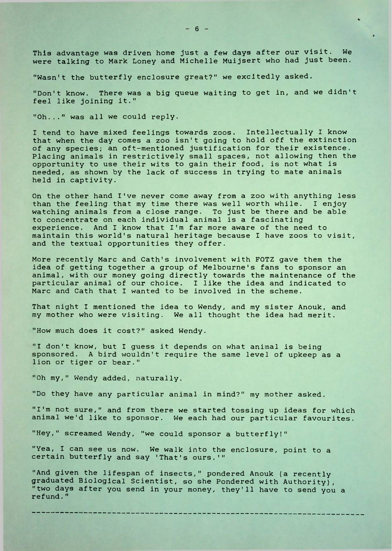This advantage was driven home just a few days after our visit. We were talking to Mark Loney and Michelle Muijsert who had just been.

"Wasn't the butterfly enclosure great?" we excitedly asked.

"Don't know. There was a big queue waiting to get in, and we didn't feel like joining it."

"Oh..." was all we could reply.

<sup>I</sup> tend to have mixed feelings towards zoos. Intellectually <sup>I</sup> know that when the day comes a zoo isn't going to hold off the extinction of any species; an oft-mentioned justification for their existence. Placing animals in restrictively small spaces, not allowing then the opportunity to use their wits to gain their food, is not what is needed, as shown by the lack of success in trying to mate animals held in captivity.

On the other hand I've never come away from a zoo with anything less than the feeling that my time there was well worth while. I enjoy watching animals from a close range. To just be there and be able to concentrate on each individual animal is a fascinating experience. And I know that I'm far more aware of the need to maintain this world's natural heritage because <sup>I</sup> have zoos to visit, and the textual opportunities they offer.

More recently Marc and Cath's involvement with FOTZ gave them the idea of getting together a group of Melbourne's fans to sponsor an animal, with our money going directly towards the maintenance of the particular animal of our choice. I like the idea and indicated to Marc and Cath that <sup>I</sup> wanted to be involved in the scheme.

That night <sup>I</sup> mentioned the idea to Wendy, and my sister Anouk, and my mother who were visiting. We all thought the idea had merit.

"How much does it cost?" asked Wendy.

"I don't know, but <sup>I</sup> guess it depends on what animal is being sponsored. A bird wouldn't require the same level of upkeep as a lion or tiger or bear."

"Oh my," Wendy added, naturally.

"Do they have any particular animal in mind?" my mother asked.

"I'm not sure," and from there we started tossing up ideas for which animal we'd like to sponsor. We each had our particular favourites.

"Hey," screamed Wendy, "we could sponsor a butterfly!"

"Yea, <sup>I</sup> can see us now. We walk into the enclosure, point to a certain butterfly and say 'That's ours.'"

"And given the lifespan of insects," pondered Anouk (a recently graduated Biological Scientist, so she Pondered with Authority), "two days after you send in your money, they'll have to send you a refund."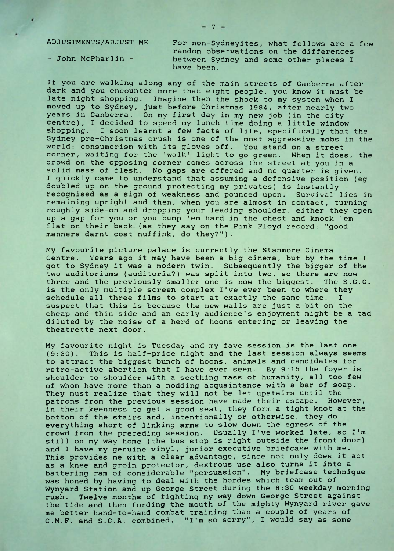ADJUSTMENTS/ADJUST ME For non-Sydneyites, what follows are a few random observations on the differences - John McPharlin - between Sydney and some other places I have been.

If you are walking along any of the main streets of Canberra after dark and you encounter more than eight people, you know it must be late night shopping. Imagine then the shock to my system when <sup>I</sup> moved up to Sydney, just before Christmas 1984, after nearly two years in Canberra. On my first day in my new job (in the city centre), I decided to spend my lunch time doing a little window shopping. I soon learnt a few facts of life, specifically that the Sydney pre-Christmas crush is one of the most aggressive mobs in the world: consumerism with its gloves off. You stand on a street corner, waiting for the 'walk' light to go green. When it does, the crowd on the opposing corner comes across the street at you in a solid mass of flesh. No gaps are offered and no quarter is given. <sup>I</sup> quickly came to understand that assuming a defensive position (eg doubled up on the ground protecting my privates) is instantly recognised as a sign of weakness and pounced upon. Survival lies in remaining upright and then, when you are almost in contact, turning roughly side-on and dropping your leading shoulder: either they open up a gap for you or you bump 'em hard in the chest and knock 'em flat on their back (as they say on the Pink Floyd record: "good manners darnt cost nuffink, do they?").

My favourite picture palace is currently the Stanmore Cinema Centre. Years ago it may have been a big cinema, but by the time <sup>I</sup> got to Sydney it was a modern twin. Subsequently the bigger of the two auditoriums (auditoria?) was split into two, so there are now three and the previously smaller one is now the biggest. The S.C.C. is the only multiple screen complex I've ever been to where they schedule all three films to start at exactly the same time. <sup>I</sup> suspect that this is because the new walls are just a bit on the cheap and thin side and an early audience's enjoyment might be a tad diluted by the noise of a herd of hoons entering or leaving the theatrette next door.

My favourite night is Tuesday and my fave session is the last one (9:30). This is half-price night and the last session always seems to attract the biggest bunch of hoons, animals and candidates for retro-active abortion that <sup>I</sup> have ever seen. By 9:15 the foyer is shoulder to shoulder with a seething mass of humanity, all too few of whom have more than a nodding acquaintance with a bar of soap. They must realize that they will not be let upstairs until the patrons from the previous session have made their escape. However, in their keenness to get a good seat, they form a tight knot at the bottom of the stairs and, intentionally or otherwise, they do everything short of linking arms to slow down the egress of the crowd from the preceding session. Usually I've worked late, so I'm still on my way home (the bus stop is right outside the front door) and <sup>I</sup> have my genuine vinyl, junior executive briefcase with me. This provides me with a clear advantage, since not only does it act as a knee and groin protector, dextrous use also turns it into a battering ram of considerable "persuasion". My briefcase technique was honed by having to deal with the hordes which team out of Wynyard Station and up George Street during the 8:30 weekday morning rush. Twelve months of fighting my way down George Street against the tide and then fording the mouth of the mighty Wynyard river gave me better hand-to-hand combat training than a couple of years of C.M.F. and S.C.A. combined. "I'm so sorry", I would say as some